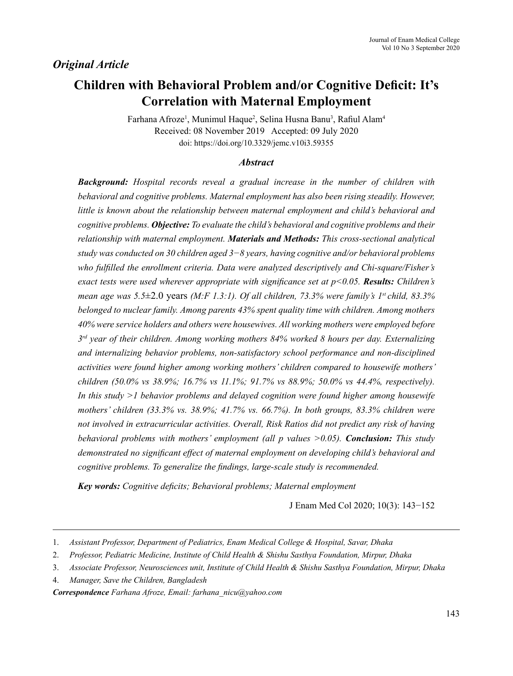# *Original Article*

# **Children with Behavioral Problem and/or Cognitive Deficit: It's Correlation with Maternal Employment**

Farhana Afroze<sup>1</sup>, Munimul Haque<sup>2</sup>, Selina Husna Banu<sup>3</sup>, Rafiul Alam<sup>4</sup> Received: 08 November 2019 Accepted: 09 July 2020 doi: https://doi.org/10.3329/jemc.v10i3.59355

#### *Abstract*

*Background: Hospital records reveal a gradual increase in the number of children with behavioral and cognitive problems. Maternal employment has also been rising steadily. However, little is known about the relationship between maternal employment and child's behavioral and cognitive problems. Objective: To evaluate the child's behavioral and cognitive problems and their relationship with maternal employment. Materials and Methods: This cross-sectional analytical study was conducted on 30 children aged 3−8 years, having cognitive and/or behavioral problems who fulfilled the enrollment criteria. Data were analyzed descriptively and Chi-square/Fisher's exact tests were used wherever appropriate with significance set at p<0.05. Results: Children's mean age was 5.5*±2.0 years *(M:F 1.3:1). Of all children, 73.3% were family's 1st child, 83.3% belonged to nuclear family. Among parents 43% spent quality time with children. Among mothers 40% were service holders and others were housewives. All working mothers were employed before 3rd year of their children. Among working mothers 84% worked 8 hours per day. Externalizing and internalizing behavior problems, non-satisfactory school performance and non-disciplined activities were found higher among working mothers' children compared to housewife mothers' children (50.0% vs 38.9%; 16.7% vs 11.1%; 91.7% vs 88.9%; 50.0% vs 44.4%, respectively). In this study >1 behavior problems and delayed cognition were found higher among housewife mothers' children (33.3% vs. 38.9%; 41.7% vs. 66.7%). In both groups, 83.3% children were not involved in extracurricular activities. Overall, Risk Ratios did not predict any risk of having behavioral problems with mothers' employment (all p values >0.05). Conclusion: This study demonstrated no significant effect of maternal employment on developing child's behavioral and cognitive problems. To generalize the findings, large-scale study is recommended.*

*Key words: Cognitive deficits; Behavioral problems; Maternal employment* 

J Enam Med Col 2020; 10(3): 143−152

*Correspondence Farhana Afroze, Email: farhana\_nicu@yahoo.com*

<sup>1.</sup> *Assistant Professor, Department of Pediatrics, Enam Medical College & Hospital, Savar, Dhaka*

<sup>2.</sup> *Professor, Pediatric Medicine, Institute of Child Health & Shishu Sasthya Foundation, Mirpur, Dhaka*

<sup>3.</sup> *Associate Professor, Neurosciences unit, Institute of Child Health & Shishu Sasthya Foundation, Mirpur, Dhaka*

<sup>4.</sup> *Manager, Save the Children, Bangladesh*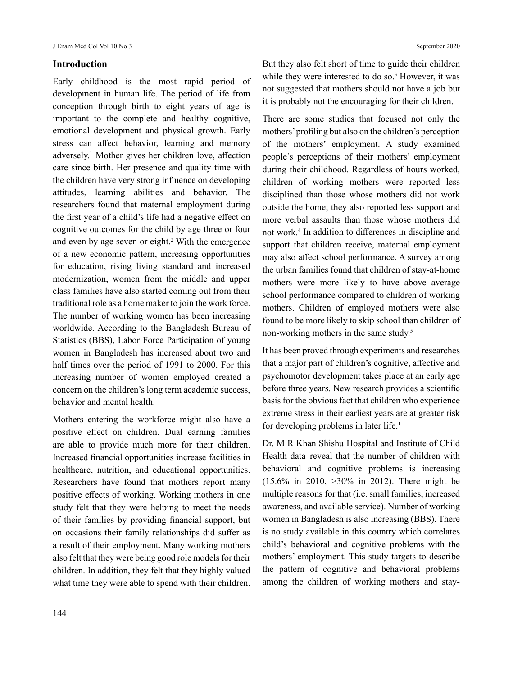## **Introduction**

Early childhood is the most rapid period of development in human life. The period of life from conception through birth to eight years of age is important to the complete and healthy cognitive, emotional development and physical growth. Early stress can affect behavior, learning and memory adversely.1 Mother gives her children love, affection care since birth. Her presence and quality time with the children have very strong influence on developing attitudes, learning abilities and behavior. The researchers found that maternal employment during the first year of a child's life had a negative effect on cognitive outcomes for the child by age three or four and even by age seven or eight.<sup>2</sup> With the emergence of a new economic pattern, increasing opportunities for education, rising living standard and increased modernization, women from the middle and upper class families have also started coming out from their traditional role as a home maker to join the work force. The number of working women has been increasing worldwide. According to the Bangladesh Bureau of Statistics (BBS), Labor Force Participation of young women in Bangladesh has increased about two and half times over the period of 1991 to 2000. For this increasing number of women employed created a concern on the children's long term academic success, behavior and mental health.

Mothers entering the workforce might also have a positive effect on children. Dual earning families are able to provide much more for their children. Increased financial opportunities increase facilities in healthcare, nutrition, and educational opportunities. Researchers have found that mothers report many positive effects of working. Working mothers in one study felt that they were helping to meet the needs of their families by providing financial support, but on occasions their family relationships did suffer as a result of their employment. Many working mothers also felt that they were being good role models for their children. In addition, they felt that they highly valued what time they were able to spend with their children. But they also felt short of time to guide their children while they were interested to do so.<sup>3</sup> However, it was not suggested that mothers should not have a job but it is probably not the encouraging for their children.

There are some studies that focused not only the mothers' profiling but also on the children's perception of the mothers' employment. A study examined people's perceptions of their mothers' employment during their childhood. Regardless of hours worked, children of working mothers were reported less disciplined than those whose mothers did not work outside the home; they also reported less support and more verbal assaults than those whose mothers did not work.4 In addition to differences in discipline and support that children receive, maternal employment may also affect school performance. A survey among the urban families found that children of stay-at-home mothers were more likely to have above average school performance compared to children of working mothers. Children of employed mothers were also found to be more likely to skip school than children of non-working mothers in the same study.<sup>5</sup>

It has been proved through experiments and researches that a major part of children's cognitive, affective and psychomotor development takes place at an early age before three years. New research provides a scientific basis for the obvious fact that children who experience extreme stress in their earliest years are at greater risk for developing problems in later life.<sup>1</sup>

Dr. M R Khan Shishu Hospital and Institute of Child Health data reveal that the number of children with behavioral and cognitive problems is increasing (15.6% in 2010, >30% in 2012). There might be multiple reasons for that (i.e. small families, increased awareness, and available service). Number of working women in Bangladesh is also increasing (BBS). There is no study available in this country which correlates child's behavioral and cognitive problems with the mothers' employment. This study targets to describe the pattern of cognitive and behavioral problems among the children of working mothers and stay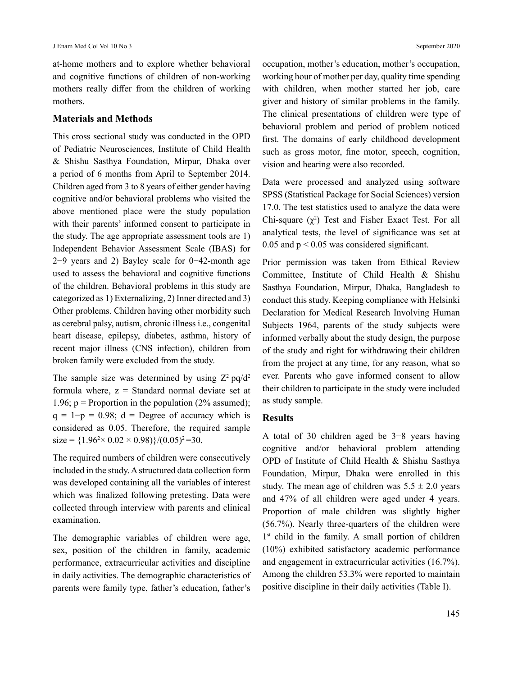at-home mothers and to explore whether behavioral and cognitive functions of children of non-working mothers really differ from the children of working mothers.

#### **Materials and Methods**

This cross sectional study was conducted in the OPD of Pediatric Neurosciences, Institute of Child Health & Shishu Sasthya Foundation, Mirpur, Dhaka over a period of 6 months from April to September 2014. Children aged from 3 to 8 years of either gender having cognitive and/or behavioral problems who visited the above mentioned place were the study population with their parents' informed consent to participate in the study. The age appropriate assessment tools are 1) Independent Behavior Assessment Scale (IBAS) for 2−9 years and 2) Bayley scale for 0−42-month age used to assess the behavioral and cognitive functions of the children. Behavioral problems in this study are categorized as 1) Externalizing, 2) Inner directed and 3) Other problems. Children having other morbidity such as cerebral palsy, autism, chronic illness i.e., congenital heart disease, epilepsy, diabetes, asthma, history of recent major illness (CNS infection), children from broken family were excluded from the study.

The sample size was determined by using  $Z^2$  pq/d<sup>2</sup> formula where,  $z =$  Standard normal deviate set at 1.96;  $p =$  Proportion in the population (2% assumed);  $q = 1-p = 0.98$ ; d = Degree of accuracy which is considered as 0.05. Therefore, the required sample  $size = \{1.96^2 \times 0.02 \times 0.98\} / (0.05)^2 = 30.$ 

The required numbers of children were consecutively included in the study. A structured data collection form was developed containing all the variables of interest which was finalized following pretesting. Data were collected through interview with parents and clinical examination.

The demographic variables of children were age, sex, position of the children in family, academic performance, extracurricular activities and discipline in daily activities. The demographic characteristics of parents were family type, father's education, father's occupation, mother's education, mother's occupation, working hour of mother per day, quality time spending with children, when mother started her job, care giver and history of similar problems in the family. The clinical presentations of children were type of behavioral problem and period of problem noticed first. The domains of early childhood development such as gross motor, fine motor, speech, cognition, vision and hearing were also recorded.

Data were processed and analyzed using software SPSS (Statistical Package for Social Sciences) version 17.0. The test statistics used to analyze the data were Chi-square  $(\chi^2)$  Test and Fisher Exact Test. For all analytical tests, the level of significance was set at 0.05 and  $p < 0.05$  was considered significant.

Prior permission was taken from Ethical Review Committee, Institute of Child Health & Shishu Sasthya Foundation, Mirpur, Dhaka, Bangladesh to conduct this study. Keeping compliance with Helsinki Declaration for Medical Research Involving Human Subjects 1964, parents of the study subjects were informed verbally about the study design, the purpose of the study and right for withdrawing their children from the project at any time, for any reason, what so ever. Parents who gave informed consent to allow their children to participate in the study were included as study sample.

## **Results**

A total of 30 children aged be 3−8 years having cognitive and/or behavioral problem attending OPD of Institute of Child Health & Shishu Sasthya Foundation, Mirpur, Dhaka were enrolled in this study. The mean age of children was  $5.5 \pm 2.0$  years and 47% of all children were aged under 4 years. Proportion of male children was slightly higher (56.7%). Nearly three-quarters of the children were 1<sup>st</sup> child in the family. A small portion of children (10%) exhibited satisfactory academic performance and engagement in extracurricular activities (16.7%). Among the children 53.3% were reported to maintain positive discipline in their daily activities (Table I).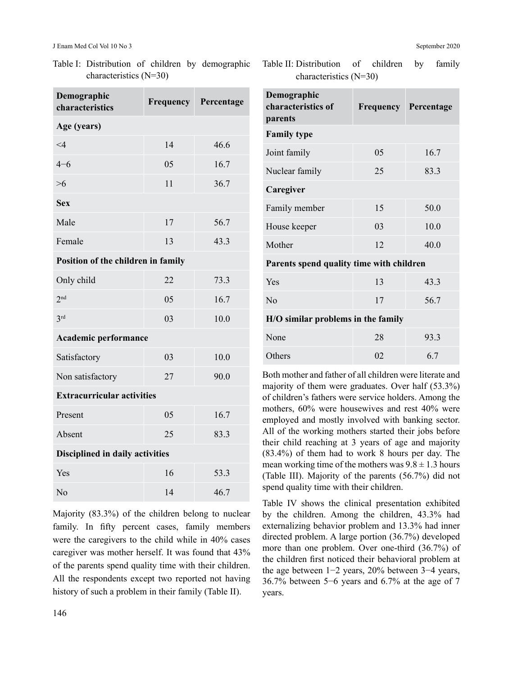Table I: Distribution of children by demographic characteristics (N=30)

| Demographic<br>characteristics         | <b>Frequency</b> | Percentage |  |
|----------------------------------------|------------------|------------|--|
| Age (years)                            |                  |            |  |
| $\leq 4$                               | 14<br>46.6       |            |  |
| $4 - 6$                                | 05<br>16.7       |            |  |
| $>6$                                   | 11               | 36.7       |  |
| <b>Sex</b>                             |                  |            |  |
| Male                                   | 17               | 56.7       |  |
| Female                                 | 13               | 43.3       |  |
| Position of the children in family     |                  |            |  |
| Only child                             | 22               | 73.3       |  |
| 2 <sup>nd</sup>                        | 05               | 16.7       |  |
| 3 <sup>rd</sup>                        | 03               | 10.0       |  |
| <b>Academic performance</b>            |                  |            |  |
| Satisfactory                           | 03               | 10.0       |  |
| Non satisfactory                       | 27<br>90.0       |            |  |
| <b>Extracurricular activities</b>      |                  |            |  |
| Present                                | 05               | 16.7       |  |
| Absent                                 | 25<br>83.3       |            |  |
| <b>Disciplined in daily activities</b> |                  |            |  |
| Yes                                    | 16               | 53.3       |  |
| No                                     | 14               | 46.7       |  |

Majority (83.3%) of the children belong to nuclear family. In fifty percent cases, family members were the caregivers to the child while in 40% cases caregiver was mother herself. It was found that 43% of the parents spend quality time with their children. All the respondents except two reported not having history of such a problem in their family (Table II).

Table II: Distribution of children by family characteristics (N=30)

| Demographic<br>characteristics of<br>parents | <b>Frequency</b> | Percentage |  |
|----------------------------------------------|------------------|------------|--|
| <b>Family type</b>                           |                  |            |  |
| Joint family                                 | 05               | 16.7       |  |
| Nuclear family                               | 25<br>83.3       |            |  |
| Caregiver                                    |                  |            |  |
| Family member                                | 15               | 50.0       |  |
| House keeper                                 | 03               | 10.0       |  |
| Mother                                       | 12<br>40.0       |            |  |
| Parents spend quality time with children     |                  |            |  |
| Yes                                          | 13               | 43.3       |  |
| $\rm No$                                     | 56.7<br>17       |            |  |
| H/O similar problems in the family           |                  |            |  |
| None                                         | 28<br>93.3       |            |  |
| Others                                       | 02               | 6.7        |  |

Both mother and father of all children were literate and majority of them were graduates. Over half (53.3%) of children's fathers were service holders. Among the mothers, 60% were housewives and rest 40% were employed and mostly involved with banking sector. All of the working mothers started their jobs before their child reaching at 3 years of age and majority (83.4%) of them had to work 8 hours per day. The mean working time of the mothers was  $9.8 \pm 1.3$  hours (Table III). Majority of the parents (56.7%) did not spend quality time with their children.

Table IV shows the clinical presentation exhibited by the children. Among the children, 43.3% had externalizing behavior problem and 13.3% had inner directed problem. A large portion (36.7%) developed more than one problem. Over one-third (36.7%) of the children first noticed their behavioral problem at the age between 1−2 years, 20% between 3−4 years, 36.7% between 5−6 years and 6.7% at the age of 7 years.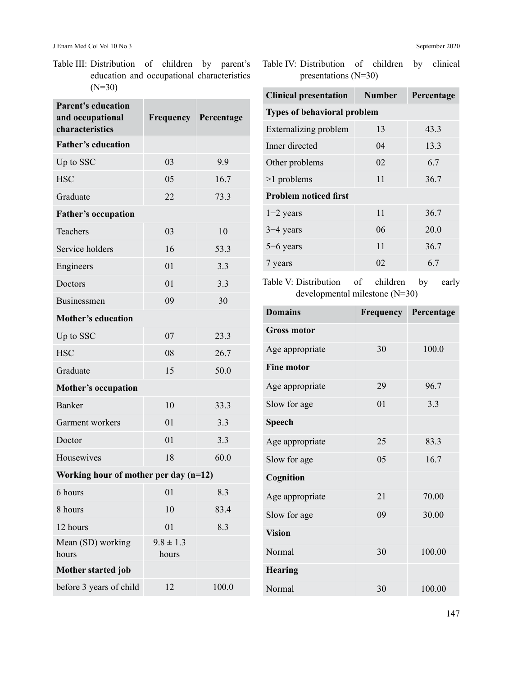Table III: Distribution of children by parent's education and occupational characteristics (N=30)

| <b>Parent's education</b><br>and occupational<br>characteristics | <b>Frequency</b>       | Percentage |  |
|------------------------------------------------------------------|------------------------|------------|--|
| <b>Father's education</b>                                        |                        |            |  |
| Up to SSC                                                        | 03<br>9.9              |            |  |
| <b>HSC</b>                                                       | 05                     | 16.7       |  |
| Graduate                                                         | 22<br>73.3             |            |  |
| <b>Father's occupation</b>                                       |                        |            |  |
| Teachers                                                         | 03                     | 10         |  |
| Service holders                                                  | 16                     | 53.3       |  |
| Engineers                                                        | 01                     | 3.3        |  |
| Doctors                                                          | 01                     | 3.3        |  |
| Businessmen                                                      | 09                     | 30         |  |
| <b>Mother's education</b>                                        |                        |            |  |
| Up to SSC                                                        | 07                     | 23.3       |  |
| <b>HSC</b>                                                       | 08                     | 26.7       |  |
| Graduate                                                         | 15                     | 50.0       |  |
| <b>Mother's occupation</b>                                       |                        |            |  |
| Banker                                                           | 10                     | 33.3       |  |
| Garment workers                                                  | 01                     | 3.3        |  |
| Doctor                                                           | 01                     | 3.3        |  |
| Housewives                                                       | 18                     | 60.0       |  |
| Working hour of mother per day (n=12)                            |                        |            |  |
| 6 hours                                                          | 01                     | 8.3        |  |
| 8 hours                                                          | 10                     | 83.4       |  |
| 12 hours                                                         | 01                     | 8.3        |  |
| Mean (SD) working<br>hours                                       | $9.8 \pm 1.3$<br>hours |            |  |
| Mother started job                                               |                        |            |  |
| before 3 years of child                                          | 12                     | 100.0      |  |

Table IV: Distribution of children by clinical presentations (N=30)

| <b>Clinical presentation</b>       | <b>Number</b> | Percentage |  |
|------------------------------------|---------------|------------|--|
| <b>Types of behavioral problem</b> |               |            |  |
| Externalizing problem              | 13            | 43.3       |  |
| Inner directed                     | 04            | 13.3       |  |
| Other problems                     | 02            | 6.7        |  |
| $>1$ problems                      | 11            | 36.7       |  |
| <b>Problem noticed first</b>       |               |            |  |
| $1-2$ years                        | 11            | 36.7       |  |
| $3-4$ years                        | 06            | 20.0       |  |
| $5-6$ years                        | 11            | 36.7       |  |
| 7 years                            | 02            | 6.7        |  |

Table V: Distribution of children by early developmental milestone (N=30)

| <b>Domains</b>     | Frequency | Percentage |  |
|--------------------|-----------|------------|--|
| <b>Gross motor</b> |           |            |  |
| Age appropriate    | 30        | 100.0      |  |
| <b>Fine motor</b>  |           |            |  |
| Age appropriate    | 29        | 96.7       |  |
| Slow for age       | 01        | 3.3        |  |
| <b>Speech</b>      |           |            |  |
| Age appropriate    | 25        | 83.3       |  |
| Slow for age       | 05        | 16.7       |  |
| Cognition          |           |            |  |
| Age appropriate    | 21        | 70.00      |  |
| Slow for age       | 09        | 30.00      |  |
| <b>Vision</b>      |           |            |  |
| <b>Normal</b>      | 30        | 100.00     |  |
| <b>Hearing</b>     |           |            |  |
| Normal             | 30        | 100.00     |  |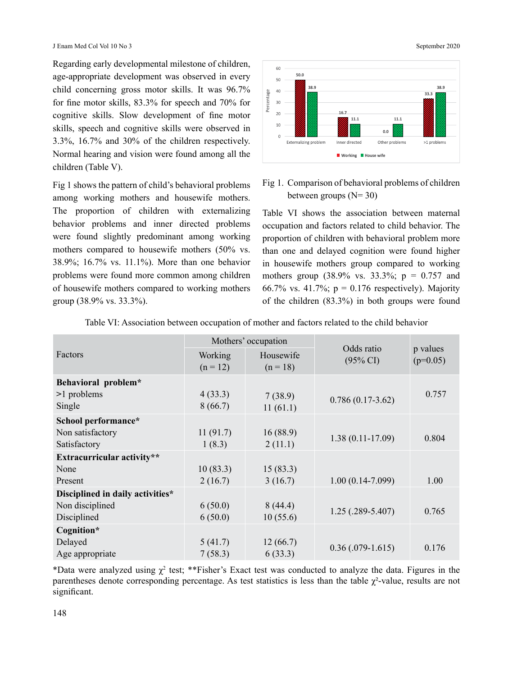J Enam Med Col Vol 10 No 3 September 2020

Regarding early developmental milestone of children, age-appropriate development was observed in every child concerning gross motor skills. It was 96.7% for fine motor skills, 83.3% for speech and 70% for cognitive skills. Slow development of fine motor skills, speech and cognitive skills were observed in 3.3%, 16.7% and 30% of the children respectively. Normal hearing and vision were found among all the children (Table V).

Fig 1 shows the pattern of child's behavioral problems among working mothers and housewife mothers. The proportion of children with externalizing behavior problems and inner directed problems were found slightly predominant among working mothers compared to housewife mothers (50% vs. 38.9%; 16.7% vs. 11.1%). More than one behavior problems were found more common among children of housewife mothers compared to working mothers group (38.9% vs. 33.3%).



## Fig 1. Comparison of behavioral problems of children between groups  $(N=30)$

Table VI shows the association between maternal occupation and factors related to child behavior. The proportion of children with behavioral problem more than one and delayed cognition were found higher in housewife mothers group compared to working mothers group  $(38.9\% \text{ vs. } 33.3\%; \text{ p} = 0.757 \text{ and }$ 66.7% vs. 41.7%;  $p = 0.176$  respectively). Majority of the children (83.3%) in both groups were found

|                                  | Mothers' occupation |            |                                   |                        |
|----------------------------------|---------------------|------------|-----------------------------------|------------------------|
| Factors                          | Working             | Housewife  | Odds ratio<br>$(95\% \text{ CI})$ | p values<br>$(p=0.05)$ |
|                                  | $(n = 12)$          | $(n = 18)$ |                                   |                        |
| Behavioral problem*              |                     |            |                                   |                        |
| $>1$ problems                    | 4(33.3)             | 7(38.9)    | $0.786(0.17-3.62)$                | 0.757                  |
| Single                           | 8(66.7)             | 11(61.1)   |                                   |                        |
| School performance*              |                     |            |                                   |                        |
| Non satisfactory                 | 11(91.7)            | 16(88.9)   | $1.38(0.11-17.09)$                | 0.804                  |
| Satisfactory                     | 1(8.3)              | 2(11.1)    |                                   |                        |
| Extracurricular activity**       |                     |            |                                   |                        |
| None                             | 10(83.3)            | 15(83.3)   |                                   |                        |
| Present                          | 2(16.7)             | 3(16.7)    | $1.00(0.14-7.099)$                | 1.00                   |
| Disciplined in daily activities* |                     |            |                                   |                        |
| Non disciplined                  | 6(50.0)             | 8(44.4)    | $1.25(.289-5.407)$                | 0.765                  |
| Disciplined                      | 6(50.0)             | 10(55.6)   |                                   |                        |
| Cognition*                       |                     |            |                                   |                        |
| Delayed                          | 5(41.7)             | 12(66.7)   | $0.36(.079-1.615)$                | 0.176                  |
| Age appropriate                  | 7(58.3)             | 6(33.3)    |                                   |                        |

Table VI: Association between occupation of mother and factors related to the child behavior

\*Data were analyzed using  $\chi^2$  test; \*\*Fisher's Exact test was conducted to analyze the data. Figures in the parentheses denote corresponding percentage. As test statistics is less than the table  $\gamma^2$ -value, results are not significant.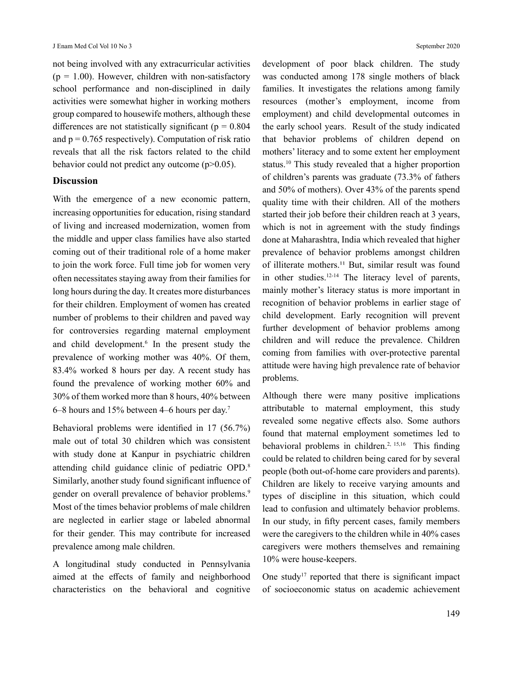not being involved with any extracurricular activities  $(p = 1.00)$ . However, children with non-satisfactory school performance and non-disciplined in daily activities were somewhat higher in working mothers group compared to housewife mothers, although these differences are not statistically significant ( $p = 0.804$ ) and  $p = 0.765$  respectively). Computation of risk ratio reveals that all the risk factors related to the child behavior could not predict any outcome  $(p>0.05)$ .

#### **Discussion**

With the emergence of a new economic pattern, increasing opportunities for education, rising standard of living and increased modernization, women from the middle and upper class families have also started coming out of their traditional role of a home maker to join the work force. Full time job for women very often necessitates staying away from their families for long hours during the day. It creates more disturbances for their children. Employment of women has created number of problems to their children and paved way for controversies regarding maternal employment and child development.<sup>6</sup> In the present study the prevalence of working mother was 40%. Of them, 83.4% worked 8 hours per day. A recent study has found the prevalence of working mother 60% and 30% of them worked more than 8 hours, 40% between 6–8 hours and 15% between 4–6 hours per day.7

Behavioral problems were identified in 17 (56.7%) male out of total 30 children which was consistent with study done at Kanpur in psychiatric children attending child guidance clinic of pediatric OPD.<sup>8</sup> Similarly, another study found significant influence of gender on overall prevalence of behavior problems.<sup>9</sup> Most of the times behavior problems of male children are neglected in earlier stage or labeled abnormal for their gender. This may contribute for increased prevalence among male children.

A longitudinal study conducted in Pennsylvania aimed at the effects of family and neighborhood characteristics on the behavioral and cognitive development of poor black children. The study was conducted among 178 single mothers of black families. It investigates the relations among family resources (mother's employment, income from employment) and child developmental outcomes in the early school years. Result of the study indicated that behavior problems of children depend on mothers' literacy and to some extent her employment status.10 This study revealed that a higher proportion of children's parents was graduate (73.3% of fathers and 50% of mothers). Over 43% of the parents spend quality time with their children. All of the mothers started their job before their children reach at 3 years, which is not in agreement with the study findings done at Maharashtra, India which revealed that higher prevalence of behavior problems amongst children of illiterate mothers.<sup>11</sup> But, similar result was found in other studies.12-14 The literacy level of parents, mainly mother's literacy status is more important in recognition of behavior problems in earlier stage of child development. Early recognition will prevent further development of behavior problems among children and will reduce the prevalence. Children coming from families with over-protective parental attitude were having high prevalence rate of behavior problems.

Although there were many positive implications attributable to maternal employment, this study revealed some negative effects also. Some authors found that maternal employment sometimes led to behavioral problems in children.<sup>2, 15,16</sup> This finding could be related to children being cared for by several people (both out-of-home care providers and parents). Children are likely to receive varying amounts and types of discipline in this situation, which could lead to confusion and ultimately behavior problems. In our study, in fifty percent cases, family members were the caregivers to the children while in 40% cases caregivers were mothers themselves and remaining 10% were house-keepers.

One study<sup>17</sup> reported that there is significant impact of socioeconomic status on academic achievement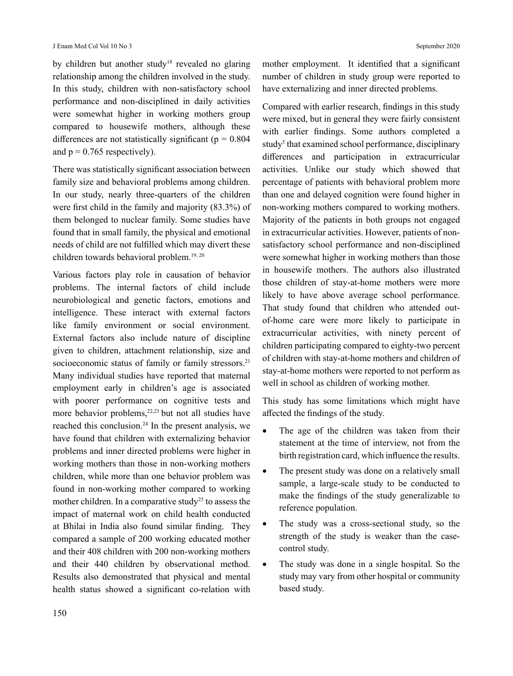by children but another study<sup>18</sup> revealed no glaring relationship among the children involved in the study. In this study, children with non-satisfactory school performance and non-disciplined in daily activities were somewhat higher in working mothers group compared to housewife mothers, although these differences are not statistically significant ( $p = 0.804$ ) and  $p = 0.765$  respectively).

There was statistically significant association between family size and behavioral problems among children. In our study, nearly three-quarters of the children were first child in the family and majority (83.3%) of them belonged to nuclear family. Some studies have found that in small family, the physical and emotional needs of child are not fulfilled which may divert these children towards behavioral problem.<sup>19, 20</sup>

Various factors play role in causation of behavior problems. The internal factors of child include neurobiological and genetic factors, emotions and intelligence. These interact with external factors like family environment or social environment. External factors also include nature of discipline given to children, attachment relationship, size and socioeconomic status of family or family stressors.<sup>21</sup> Many individual studies have reported that maternal employment early in children's age is associated with poorer performance on cognitive tests and more behavior problems,<sup>22,23</sup> but not all studies have reached this conclusion.<sup>24</sup> In the present analysis, we have found that children with externalizing behavior problems and inner directed problems were higher in working mothers than those in non-working mothers children, while more than one behavior problem was found in non-working mother compared to working mother children. In a comparative study<sup>25</sup> to assess the impact of maternal work on child health conducted at Bhilai in India also found similar finding. They compared a sample of 200 working educated mother and their 408 children with 200 non-working mothers and their 440 children by observational method. Results also demonstrated that physical and mental health status showed a significant co-relation with mother employment. It identified that a significant number of children in study group were reported to have externalizing and inner directed problems.

Compared with earlier research, findings in this study were mixed, but in general they were fairly consistent with earlier findings. Some authors completed a study<sup>5</sup> that examined school performance, disciplinary differences and participation in extracurricular activities. Unlike our study which showed that percentage of patients with behavioral problem more than one and delayed cognition were found higher in non-working mothers compared to working mothers. Majority of the patients in both groups not engaged in extracurricular activities. However, patients of nonsatisfactory school performance and non-disciplined were somewhat higher in working mothers than those in housewife mothers. The authors also illustrated those children of stay-at-home mothers were more likely to have above average school performance. That study found that children who attended outof-home care were more likely to participate in extracurricular activities, with ninety percent of children participating compared to eighty-two percent of children with stay-at-home mothers and children of stay-at-home mothers were reported to not perform as well in school as children of working mother.

This study has some limitations which might have affected the findings of the study.

- The age of the children was taken from their statement at the time of interview, not from the birth registration card, which influence the results.
- The present study was done on a relatively small sample, a large-scale study to be conducted to make the findings of the study generalizable to reference population.
- The study was a cross-sectional study, so the strength of the study is weaker than the casecontrol study.
- The study was done in a single hospital. So the study may vary from other hospital or community based study.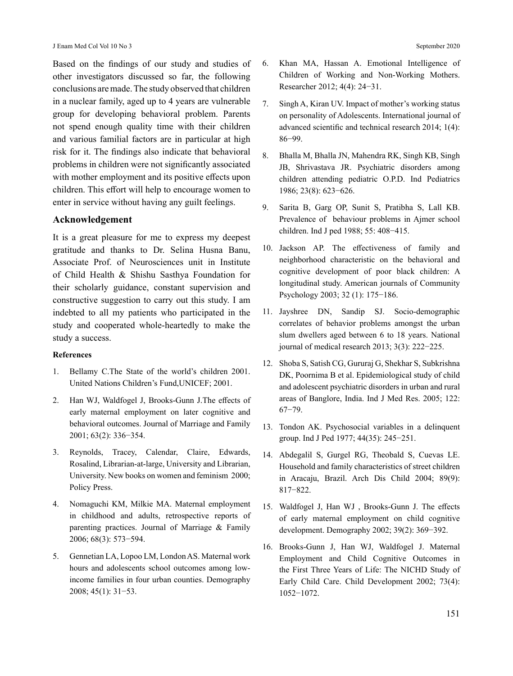Based on the findings of our study and studies of other investigators discussed so far, the following conclusions are made. The study observed that children in a nuclear family, aged up to 4 years are vulnerable group for developing behavioral problem. Parents not spend enough quality time with their children and various familial factors are in particular at high risk for it. The findings also indicate that behavioral problems in children were not significantly associated with mother employment and its positive effects upon children. This effort will help to encourage women to enter in service without having any guilt feelings.

#### **Acknowledgement**

It is a great pleasure for me to express my deepest gratitude and thanks to Dr. Selina Husna Banu, Associate Prof. of Neurosciences unit in Institute of Child Health & Shishu Sasthya Foundation for their scholarly guidance, constant supervision and constructive suggestion to carry out this study. I am indebted to all my patients who participated in the study and cooperated whole-heartedly to make the study a success.

#### **References**

- 1. Bellamy C.The State of the world's children 2001. United Nations Children's Fund,UNICEF; 2001.
- 2. Han WJ, Waldfogel J, Brooks-Gunn J.The effects of early maternal employment on later cognitive and behavioral outcomes. Journal of Marriage and Family 2001; 63(2): 336−354.
- 3. Reynolds, Tracey, Calendar, Claire, Edwards, Rosalind, Librarian-at-large, University and Librarian, University. New books on women and feminism 2000; Policy Press.
- 4. Nomaguchi KM, Milkie MA. Maternal employment in childhood and adults, retrospective reports of parenting practices. Journal of Marriage & Family 2006; 68(3): 573−594.
- 5. Gennetian LA, Lopoo LM, London AS. Maternal work hours and adolescents school outcomes among lowincome families in four urban counties. Demography 2008; 45(1): 31−53.
- 6. Khan MA, Hassan A. Emotional Intelligence of Children of Working and Non-Working Mothers. Researcher 2012; 4(4): 24−31.
- 7. Singh A, Kiran UV. Impact of mother's working status on personality of Adolescents. International journal of advanced scientific and technical research 2014; 1(4): 86−99.
- 8. Bhalla M, Bhalla JN, Mahendra RK, Singh KB, Singh JB, Shrivastava JR. Psychiatric disorders among children attending pediatric O.P.D. Ind Pediatrics 1986; 23(8): 623−626.
- 9. Sarita B, Garg OP, Sunit S, Pratibha S, Lall KB. Prevalence of behaviour problems in Ajmer school children. Ind J ped 1988; 55: 408−415.
- 10. Jackson AP. The effectiveness of family and neighborhood characteristic on the behavioral and cognitive development of poor black children: A longitudinal study. American journals of Community Psychology 2003; 32 (1): 175−186.
- 11. Jayshree DN, Sandip SJ. Socio-demographic correlates of behavior problems amongst the urban slum dwellers aged between 6 to 18 years. National journal of medical research 2013; 3(3): 222−225.
- 12. Shoba S, Satish CG, Gururaj G, Shekhar S, Subkrishna DK, Poornima B et al. Epidemiological study of child and adolescent psychiatric disorders in urban and rural areas of Banglore, India. Ind J Med Res. 2005; 122: 67−79.
- 13. Tondon AK. Psychosocial variables in a delinquent group. Ind J Ped 1977; 44(35): 245−251.
- 14. Abdegalil S, Gurgel RG, Theobald S, Cuevas LE. Household and family characteristics of street children in Aracaju, Brazil. Arch Dis Child 2004; 89(9): 817−822.
- 15. Waldfogel J, Han WJ , Brooks-Gunn J. The effects of early maternal employment on child cognitive development. Demography 2002; 39(2): 369−392.
- 16. Brooks-Gunn J, Han WJ, Waldfogel J. Maternal Employment and Child Cognitive Outcomes in the First Three Years of Life: The NICHD Study of Early Child Care. Child Development 2002; 73(4): 1052−1072.